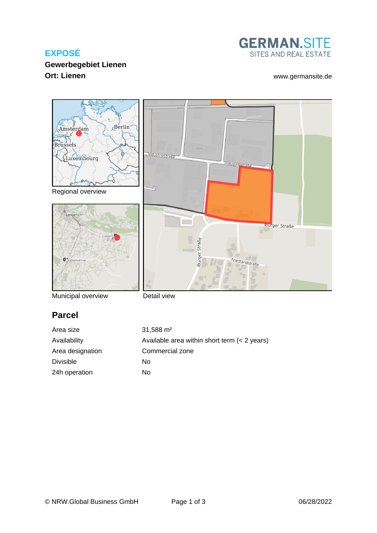# **EXPOSÉ**

# **GERMAN.SITE** SITES AND REAL ESTATE

# **Gewerbegebiet Lienen Ort: Lienen** [www.germansite.de](http://www.germansite.de)



Municipal overview

Detail view

# **Parcel**

Area size 31,588 m<sup>2</sup> Availability Available area within short term (< 2 years) Area designation Commercial zone Divisible No 24h operation No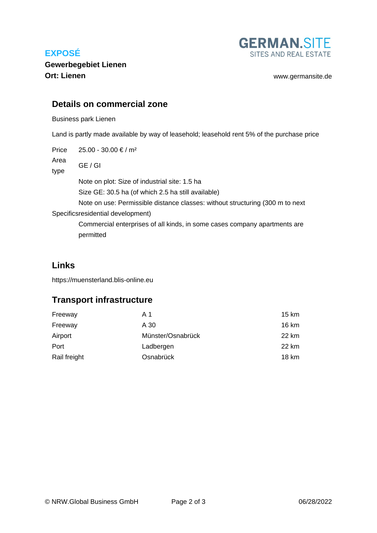# **EXPOSÉ**



**Gewerbegebiet Lienen Ort: Lienen** [www.germansite.de](http://www.germansite.de)

#### **Details on commercial zone**

Business park Lienen

Land is partly made available by way of leasehold; leasehold rent 5% of the purchase price

Price  $25.00 - 30.00 \in / m^2$ 

Area GE / GI

type

Note on plot: Size of industrial site: 1.5 ha Size GE: 30.5 ha (of which 2.5 ha still available)

Note on use: Permissible distance classes: without structuring (300 m to next

Specifics residential development)

Commercial enterprises of all kinds, in some cases company apartments are permitted

### **Links**

<https://muensterland.blis-online.eu>

## **Transport infrastructure**

| Freeway      | A 1               | 15 km |
|--------------|-------------------|-------|
| Freeway      | A 30              | 16 km |
| Airport      | Münster/Osnabrück | 22 km |
| Port         | Ladbergen         | 22 km |
| Rail freight | Osnabrück         | 18 km |